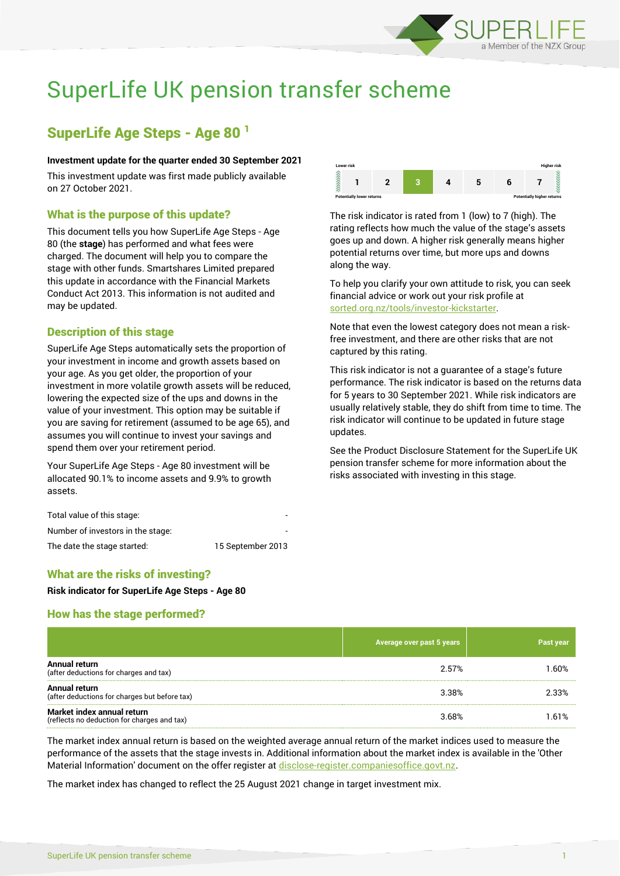

# SuperLife UK pension transfer scheme

# SuperLife Age Steps - Age 80 <sup>1</sup>

#### **Investment update for the quarter ended 30 September 2021**

This investment update was first made publicly available on 27 October 2021.

### What is the purpose of this update?

This document tells you how SuperLife Age Steps - Age 80 (the **stage**) has performed and what fees were charged. The document will help you to compare the stage with other funds. Smartshares Limited prepared this update in accordance with the Financial Markets Conduct Act 2013. This information is not audited and may be updated.

### Description of this stage

SuperLife Age Steps automatically sets the proportion of your investment in income and growth assets based on your age. As you get older, the proportion of your investment in more volatile growth assets will be reduced, lowering the expected size of the ups and downs in the value of your investment. This option may be suitable if you are saving for retirement (assumed to be age 65), and assumes you will continue to invest your savings and spend them over your retirement period.

Your SuperLife Age Steps - Age 80 investment will be allocated 90.1% to income assets and 9.9% to growth assets.

| Total value of this stage:        | -                 |
|-----------------------------------|-------------------|
| Number of investors in the stage: | ۰                 |
| The date the stage started:       | 15 September 2013 |



The risk indicator is rated from 1 (low) to 7 (high). The rating reflects how much the value of the stage's assets goes up and down. A higher risk generally means higher potential returns over time, but more ups and downs along the way.

To help you clarify your own attitude to risk, you can seek financial advice or work out your risk profile at [sorted.org.nz/tools/investor-kickstarter.](http://www.sorted.org.nz/tools/investor-kickstarter)

Note that even the lowest category does not mean a riskfree investment, and there are other risks that are not captured by this rating.

This risk indicator is not a guarantee of a stage's future performance. The risk indicator is based on the returns data for 5 years to 30 September 2021. While risk indicators are usually relatively stable, they do shift from time to time. The risk indicator will continue to be updated in future stage updates.

See the Product Disclosure Statement for the SuperLife UK pension transfer scheme for more information about the risks associated with investing in this stage.

### What are the risks of investing?

**Risk indicator for SuperLife Age Steps - Age 80**

### How has the stage performed?

|                                                                           | Average over past 5 years | Past year |
|---------------------------------------------------------------------------|---------------------------|-----------|
| Annual return<br>(after deductions for charges and tax)                   | 2.57%                     | 1.60%     |
| Annual return<br>(after deductions for charges but before tax)            | 3.38%                     | 2.33%     |
| Market index annual return<br>(reflects no deduction for charges and tax) | 3.68%                     | 1.61%     |

The market index annual return is based on the weighted average annual return of the market indices used to measure the performance of the assets that the stage invests in. Additional information about the market index is available in the 'Other Material Information' document on the offer register at [disclose-register.companiesoffice.govt.nz.](http://www.disclose-register.companiesoffice.govt.nz/)

The market index has changed to reflect the 25 August 2021 change in target investment mix.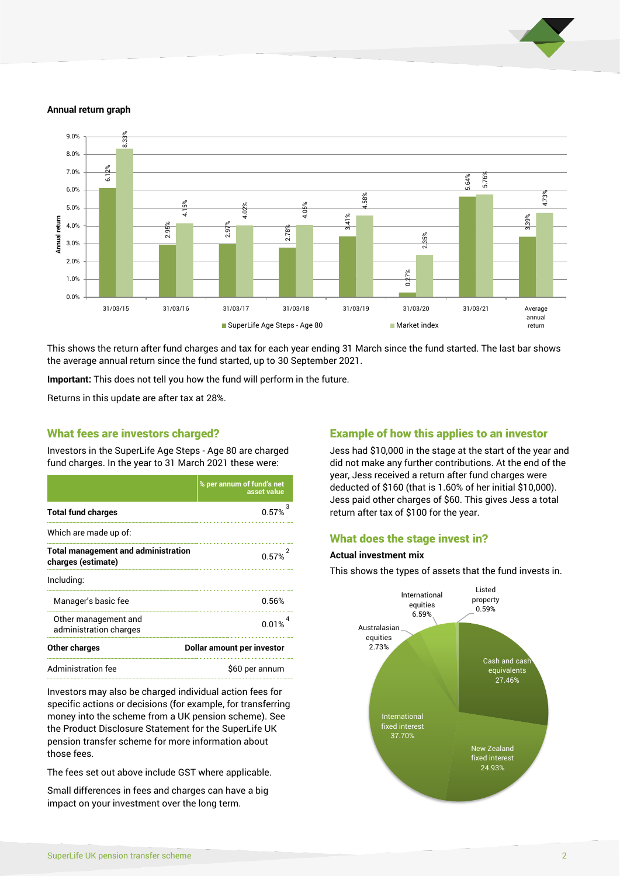

#### **Annual return graph**



This shows the return after fund charges and tax for each year ending 31 March since the fund started. The last bar shows the average annual return since the fund started, up to 30 September 2021.

**Important:** This does not tell you how the fund will perform in the future.

Returns in this update are after tax at 28%.

#### What fees are investors charged?

Investors in the SuperLife Age Steps - Age 80 are charged fund charges. In the year to 31 March 2021 these were:

|                                                                  | % per annum of fund's net<br>asset value |  |
|------------------------------------------------------------------|------------------------------------------|--|
| <b>Total fund charges</b>                                        | 0.57%                                    |  |
| Which are made up of:                                            |                                          |  |
| <b>Total management and administration</b><br>charges (estimate) | 0.57%                                    |  |
| Including:                                                       |                                          |  |
| Manager's basic fee                                              | 0.56%                                    |  |
| Other management and<br>administration charges                   | በ በ1%                                    |  |
| <b>Other charges</b>                                             | Dollar amount per investor               |  |
| Administration fee                                               | \$60 per annum                           |  |

Investors may also be charged individual action fees for specific actions or decisions (for example, for transferring money into the scheme from a UK pension scheme). See the Product Disclosure Statement for the SuperLife UK pension transfer scheme for more information about those fees.

The fees set out above include GST where applicable.

Small differences in fees and charges can have a big impact on your investment over the long term.

#### Example of how this applies to an investor

Jess had \$10,000 in the stage at the start of the year and did not make any further contributions. At the end of the year, Jess received a return after fund charges were deducted of \$160 (that is 1.60% of her initial \$10,000). Jess paid other charges of \$60. This gives Jess a total return after tax of \$100 for the year.

#### What does the stage invest in?

#### **Actual investment mix**

This shows the types of assets that the fund invests in.

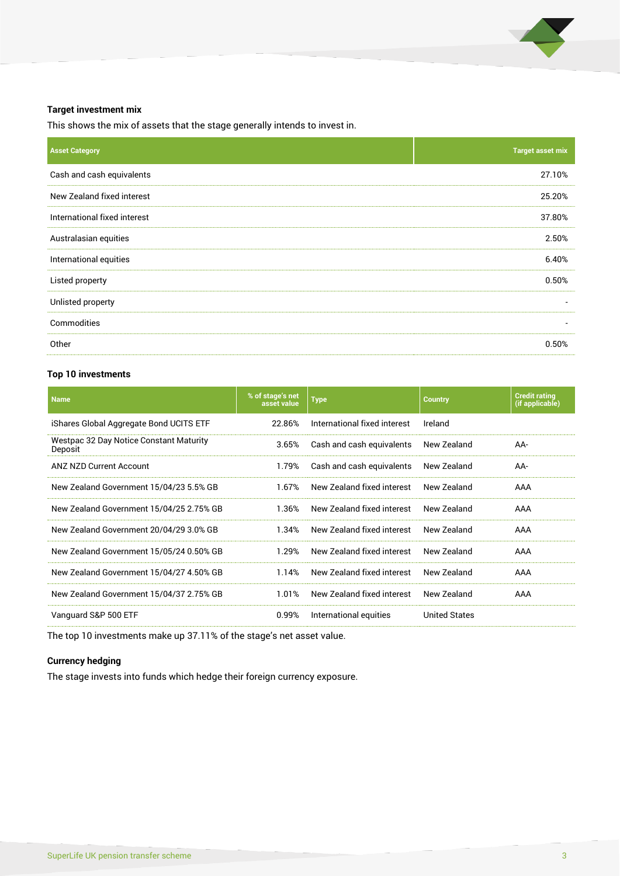

#### **Target investment mix**

This shows the mix of assets that the stage generally intends to invest in.

| <b>Asset Category</b>        | <b>Target asset mix</b>  |
|------------------------------|--------------------------|
| Cash and cash equivalents    | 27.10%                   |
| New Zealand fixed interest   | 25.20%                   |
| International fixed interest | 37.80%                   |
| Australasian equities        | 2.50%                    |
| International equities       | 6.40%                    |
| Listed property              | 0.50%                    |
| Unlisted property            |                          |
| Commodities                  | $\overline{\phantom{a}}$ |
| Other                        | 0.50%                    |

### **Top 10 investments**

| <b>Name</b>                                        | % of stage's net<br>asset value | <b>Type</b>                  | <b>Country</b>       | <b>Credit rating</b><br>(if applicable) |
|----------------------------------------------------|---------------------------------|------------------------------|----------------------|-----------------------------------------|
| iShares Global Aggregate Bond UCITS ETF            | 22.86%                          | International fixed interest | Ireland              |                                         |
| Westpac 32 Day Notice Constant Maturity<br>Deposit | 3.65%                           | Cash and cash equivalents    | New Zealand          | AA-                                     |
| ANZ NZD Current Account                            | 1.79%                           | Cash and cash equivalents    | New Zealand          | AA-                                     |
| New Zealand Government 15/04/23 5.5% GB            | 1.67%                           | New Zealand fixed interest   | New Zealand          | AAA                                     |
| New Zealand Government 15/04/25 2.75% GB           | 1.36%                           | New Zealand fixed interest   | New Zealand          | AAA                                     |
| New Zealand Government 20/04/29 3.0% GB            | 1.34%                           | New Zealand fixed interest   | New Zealand          | AAA                                     |
| New Zealand Government 15/05/24 0.50% GB           | 1.29%                           | New Zealand fixed interest   | New Zealand          | AAA                                     |
| New Zealand Government 15/04/27 4.50% GB           | 1.14%                           | New Zealand fixed interest   | New Zealand          | AAA                                     |
| New Zealand Government 15/04/37 2.75% GB           | 1.01%                           | New Zealand fixed interest   | New Zealand          | AAA                                     |
| Vanguard S&P 500 ETF                               | 0.99%                           | International equities       | <b>United States</b> |                                         |

The top 10 investments make up 37.11% of the stage's net asset value.

### **Currency hedging**

The stage invests into funds which hedge their foreign currency exposure.